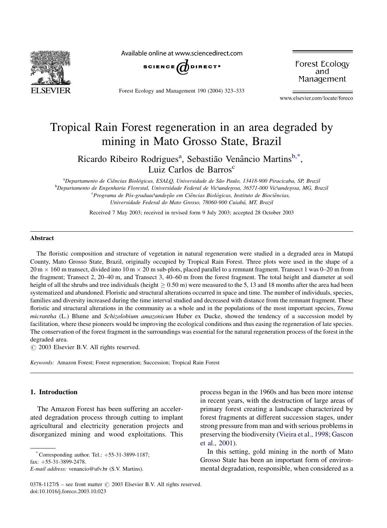

Available online at www.sciencedirect.com



Forest Ecology and Management 190 (2004) 323–333

Forest Ecology and Management

www.elsevier.com/locate/foreco

# Tropical Rain Forest regeneration in an area degraded by mining in Mato Grosso State, Brazil

Ricardo Ribeiro Rodrigues<sup>a</sup>, Sebastião Venâncio Martins<sup>b,\*</sup>, Luiz Carlos de Barros $<sup>c</sup>$ </sup>

a<br>Departamento de Ciências Biológicas, ESALQ, Universidade de São Paulo, 13418-900 Piracicaba, SP, Brazil b<br>Departamento de Engenharia Florestal, Universidade Federal de Vic∖underosa, 36571-000 Vic∖underosa, MG, Brazil <sup>c</sup> Programa de Pós-graduac\underão em Ciências Biológicas, Instituto de Biociências, Universidade Federal do Mato Grosso, 78060-900 Cuiabá, MT, Brazil

Received 7 May 2003; received in revised form 9 July 2003; accepted 28 October 2003

#### Abstract

The floristic composition and structure of vegetation in natural regeneration were studied in a degraded area in Matupa´ County, Mato Grosso State, Brazil, originally occupied by Tropical Rain Forest. Three plots were used in the shape of a  $20 \text{ m} \times 160 \text{ m}$  transect, divided into  $10 \text{ m} \times 20 \text{ m}$  sub-plots, placed parallel to a remnant fragment. Transect 1 was 0–20 m from the fragment; Transect 2, 20–40 m, and Transect 3, 40–60 m from the forest fragment. The total height and diameter at soil height of all the shrubs and tree individuals (height  $\geq 0.50$  m) were measured to the 5, 13 and 18 months after the area had been systematized and abandoned. Floristic and structural alterations occurred in space and time. The number of individuals, species, families and diversity increased during the time interval studied and decreased with distance from the remnant fragment. These floristic and structural alterations in the community as a whole and in the populations of the most important species, Trema micrantha (L.) Blume and Schizolobium amazonicum Huber ex Ducke, showed the tendency of a succession model by facilitation, where these pioneers would be improving the ecological conditions and thus easing the regeneration of late species. The conservation of the forest fragment in the surroundings was essential for the natural regeneration process of the forest in the degraded area.

 $\odot$  2003 Elsevier B.V. All rights reserved.

Keywords: Amazon Forest; Forest regeneration; Succession; Tropical Rain Forest

## 1. Introduction

The Amazon Forest has been suffering an accelerated degradation process through cutting to implant agricultural and electricity generation projects and disorganized mining and wood exploitations. This

Corresponding author. Tel.: +55-31-3899-1187;  $fax: +55-31-3899-2478.$ 

E-mail address: venancio@ufv.br (S.V. Martins).

process began in the 1960s and has been more intense in recent years, with the destruction of large areas of primary forest creating a landscape characterized by forest fragments at different succession stages, under strong pressure from man and with serious problems in preserving the biodiversity ([Vieira et al., 1998; Gascon](#page-10-0) [et al., 2001\)](#page-10-0).

In this setting, gold mining in the north of Mato Grosso State has been an important form of environmental degradation, responsible, when considered as a

<sup>0378-1127/\$ –</sup> see front matter  $\odot$  2003 Elsevier B.V. All rights reserved. doi:10.1016/j.foreco.2003.10.023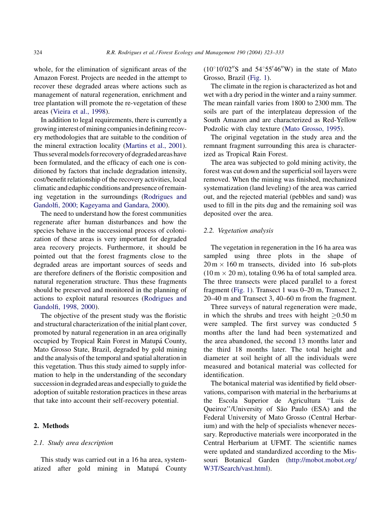whole, for the elimination of significant areas of the Amazon Forest. Projects are needed in the attempt to recover these degraded areas where actions such as management of natural regeneration, enrichment and tree plantation will promote the re-vegetation of these areas ([Vieira et al., 1998\)](#page-10-0).

In addition to legal requirements, there is currently a growing interest of miningcompanies in defining recovery methodologies that are suitable to the condition of the mineral extraction locality [\(Martins et al., 2001\)](#page-9-0). Thus several models for recovery of degraded areas have been formulated, and the efficacy of each one is conditioned by factors that include degradation intensity, cost/benefit relationship of the recovery activities, local climatic and edaphic conditions and presence of remaining vegetation in the surroundings [\(Rodrigues and](#page-9-0) [Gandolfi, 2000; Kageyama and Gandara, 2000\)](#page-9-0).

The need to understand how the forest communities regenerate after human disturbances and how the species behave in the successional process of colonization of these areas is very important for degraded area recovery projects. Furthermore, it should be pointed out that the forest fragments close to the degraded areas are important sources of seeds and are therefore definers of the floristic composition and natural regeneration structure. Thus these fragments should be preserved and monitored in the planning of actions to exploit natural resources ([Rodrigues and](#page-9-0) [Gandolfi, 1998, 2000\)](#page-9-0).

The objective of the present study was the floristic and structural characterization of the initial plant cover, promoted by natural regeneration in an area originally occupied by Tropical Rain Forest in Matupá County, Mato Grosso State, Brazil, degraded by gold mining and the analysis of the temporal and spatial alteration in this vegetation. Thus this study aimed to supply information to help in the understanding of the secondary succession in degraded areas and especially to guide the adoption of suitable restoration practices in these areas that take into account their self-recovery potential.

## 2. Methods

#### 2.1. Study area description

This study was carried out in a 16 ha area, systematized after gold mining in Matupa´ County

 $(10^{\circ}10'02''S$  and  $54^{\circ}55'46''W$ ) in the state of Mato Grosso, Brazil ([Fig. 1\)](#page-2-0).

The climate in the region is characterized as hot and wet with a dry period in the winter and a rainy summer. The mean rainfall varies from 1800 to 2300 mm. The soils are part of the interplateau depression of the South Amazon and are characterized as Red-Yellow Podzolic with clay texture [\(Mato Grosso, 1995\)](#page-9-0).

The original vegetation in the study area and the remnant fragment surrounding this area is characterized as Tropical Rain Forest.

The area was subjected to gold mining activity, the forest was cut down and the superficial soil layers were removed. When the mining was finished, mechanized systematization (land leveling) of the area was carried out, and the rejected material (pebbles and sand) was used to fill in the pits dug and the remaining soil was deposited over the area.

## 2.2. Vegetation analysis

The vegetation in regeneration in the 16 ha area was sampled using three plots in the shape of  $20 \text{ m} \times 160 \text{ m}$  transects, divided into 16 sub-plots  $(10 \text{ m} \times 20 \text{ m})$ , totaling 0.96 ha of total sampled area. The three transects were placed parallel to a forest fragment ([Fig. 1\)](#page-2-0). Transect 1 was 0–20 m, Transect 2, 20–40 m and Transect 3, 40–60 m from the fragment.

Three surveys of natural regeneration were made, in which the shrubs and trees with height  $\geq 0.50$  m were sampled. The first survey was conducted 5 months after the land had been systematized and the area abandoned, the second 13 months later and the third 18 months later. The total height and diameter at soil height of all the individuals were measured and botanical material was collected for identification.

The botanical material was identified by field observations, comparison with material in the herbariums at the Escola Superior de Agricultura ''Luis de Queiroz"/University of São Paulo (ESA) and the Federal University of Mato Grosso (Central Herbarium) and with the help of specialists whenever necessary. Reproductive materials were incorporated in the Central Herbarium at UFMT. The scientific names were updated and standardized according to the Missouri Botanical Garden ([http://mobot.mobot.org/](HTTP://MOBOT.MOBOT.ORG/W3T/SEARCH/VAST.HTML) [W3T/Search/vast.html\)](HTTP://MOBOT.MOBOT.ORG/W3T/SEARCH/VAST.HTML).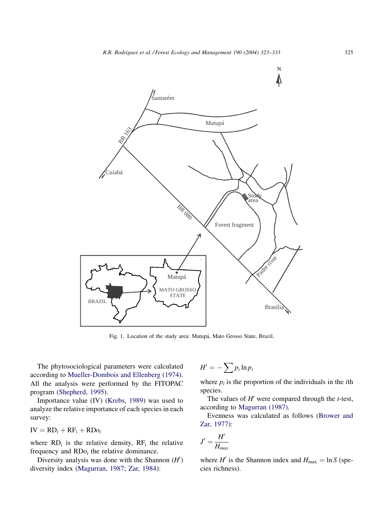<span id="page-2-0"></span>

Fig. 1. Location of the study area: Matupá, Mato Grosso State, Brazil.

The phytosociological parameters were calculated according to [Mueller-Dombois and Ellenberg \(1974\)](#page-9-0). All the analysis were performed by the FITOPAC program [\(Shepherd, 1995\)](#page-9-0).

Importance value (IV) [\(Krebs, 1989](#page-9-0)) was used to analyze the relative importance of each species in each survey:

$$
IV = RD_i + RF_i + RDo_i
$$

where  $RD_i$  is the relative density,  $RF_i$  the relative frequency and  $RDo_i$  the relative dominance.

Diversity analysis was done with the Shannon  $(H')$ diversity index [\(Magurran, 1987; Zar, 1984](#page-9-0)):

$$
H' = -\sum p_i \ln p_i
$$

where  $p_i$  is the proportion of the individuals in the *i*th species.

The values of  $H'$  were compared through the t-test, according to [Magurran \(1987\).](#page-9-0)

Evenness was calculated as follows [\(Brower and](#page-9-0) [Zar, 1977](#page-9-0)):

$$
J'=\frac{H'}{H_{max}}
$$

where  $H'$  is the Shannon index and  $H_{\text{max}} = \ln S$  (species richness).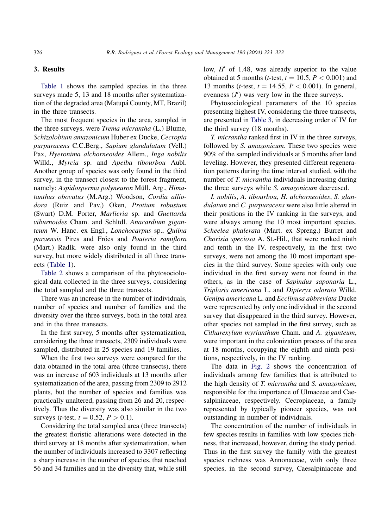# 3. Results

[Table 1](#page-4-0) shows the sampled species in the three surveys made 5, 13 and 18 months after systematization of the degraded area (Matupá County, MT, Brazil) in the three transects.

The most frequent species in the area, sampled in the three surveys, were Trema micrantha (L.) Blume, Schizolobium amazonicum Huber ex Ducke, Cecropia purpuracens C.C.Berg., Sapium glandulatum (Vell.) Pax, Hyeronima alchorneoides Allem., Inga nobilis Willd., Myrcia sp. and Apeiba tibourbou Aubl. Another group of species was only found in the third survey, in the transect closest to the forest fragment, namely: Aspidosperma polyneuron Müll. Arg., Himatanthus obovatus (M.Arg.) Woodson, Cordia alliodora (Ruiz and Pav.) Oken, Protium robustum (Swart) D.M. Porter, Marlieria sp. and Guettarda viburnoides Cham. and Schltdl. Anacardium giganteum W. Hanc. ex Engl., Lonchocarpus sp., Quiina paraensis Pires and Fróes and Pouteria ramiflora (Mart.) Radlk. were also only found in the third survey, but more widely distributed in all three transects ([Table 1](#page-4-0)).

[Table 2](#page-5-0) shows a comparison of the phytosociological data collected in the three surveys, considering the total sampled and the three transects.

There was an increase in the number of individuals, number of species and number of families and the diversity over the three surveys, both in the total area and in the three transects.

In the first survey, 5 months after systematization, considering the three transects, 2309 individuals were sampled, distributed in 25 species and 19 families.

When the first two surveys were compared for the data obtained in the total area (three transects), there was an increase of 603 individuals at 13 months after systematization of the area, passing from 2309 to 2912 plants, but the number of species and families was practically unaltered, passing from 26 and 20, respectively. Thus the diversity was also similar in the two surveys (*t*-test,  $t = 0.52, P > 0.1$ ).

Considering the total sampled area (three transects) the greatest floristic alterations were detected in the third survey at 18 months after systematization, when the number of individuals increased to 3307 reflecting a sharp increase in the number of species, that reached 56 and 34 families and in the diversity that, while still low,  $H'$  of 1.48, was already superior to the value obtained at 5 months (*t*-test,  $t = 10.5, P < 0.001$ ) and 13 months (*t*-test,  $t = 14.55$ ,  $P < 0.001$ ). In general, evenness  $(J')$  was very low in the three surveys.

Phytosociological parameters of the 10 species presenting highest IV, considering the three transects, are presented in [Table 3](#page-6-0), in decreasing order of IV for the third survey (18 months).

T. micrantha ranked first in IV in the three surveys, followed by S. amazonicum. These two species were 90% of the sampled individuals at 5 months after land leveling. However, they presented different regeneration patterns during the time interval studied, with the number of T. *micrantha* individuals increasing during the three surveys while S. amazonicum decreased.

I. nobilis, A. tibourbou, H. alchorneoides, S. glandulatum and C. purpuracens were also little altered in their positions in the IV ranking in the surveys, and were always among the 10 most important species. Scheelea phalerata (Mart. ex Spreng.) Burret and Chorisia speciosa A. St.-Hil., that were ranked ninth and tenth in the IV, respectively, in the first two surveys, were not among the 10 most important species in the third survey. Some species with only one individual in the first survey were not found in the others, as in the case of Sapindus saponaria L., Triplaris americana L. and Dipteryx odorata Willd. Genipa americana L. and Ecclinusa abbreviata Ducke were represented by only one individual in the second survey that disappeared in the third survey. However, other species not sampled in the first survey, such as Citharexylum myrianthum Cham. and A. giganteum, were important in the colonization process of the area at 18 months, occupying the eighth and ninth positions, respectively, in the IV ranking.

The data in [Fig. 2](#page-6-0) shows the concentration of individuals among few families that is attributed to the high density of T. micrantha and S. amazonicum, responsible for the importance of Ulmaceae and Caesalpiniaceae, respectively. Cecropiaceae, a family represented by typically pioneer species, was not outstanding in number of individuals.

The concentration of the number of individuals in few species results in families with low species richness, that increased, however, during the study period. Thus in the first survey the family with the greatest species richness was Annonaceae, with only three species, in the second survey, Caesalpiniaceae and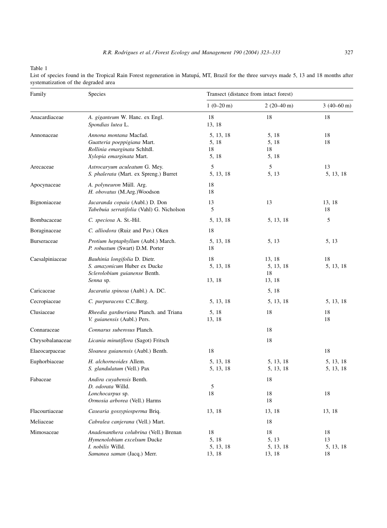<span id="page-4-0"></span>Table 1

List of species found in the Tropical Rain Forest regeneration in Matupa´, MT, Brazil for the three surveys made 5, 13 and 18 months after systematization of the degraded area  $\overline{\phantom{0}}$ 

| Family           | Species                                                                                                                   | Transect (distance from intact forest) |                                     |                             |  |  |  |
|------------------|---------------------------------------------------------------------------------------------------------------------------|----------------------------------------|-------------------------------------|-----------------------------|--|--|--|
|                  |                                                                                                                           | $1(0-20m)$                             | $2(20-40 \text{ m})$                | $3(40-60)$ m)               |  |  |  |
| Anacardiaceae    | A. giganteum W. Hanc. ex Engl.<br>Spondias lutea L.                                                                       | 18<br>13, 18                           | 18                                  | 18                          |  |  |  |
| Annonaceae       | Annona montana Macfad.<br>Guatteria poeppigiana Mart.<br>Rollinia emarginata Schltdl.<br>Xylopia emarginata Mart.         | 5, 13, 18<br>5, 18<br>18<br>5, 18      | 5, 18<br>5, 18<br>18<br>5, 18       | 18<br>18                    |  |  |  |
| Arecaceae        | Astrocaryum aculeatum G. Mey.<br>S. phalerata (Mart. ex Spreng.) Burret                                                   | 5<br>5, 13, 18                         | 5<br>5, 13                          | 13<br>5, 13, 18             |  |  |  |
| Apocynaceae      | A. polyneuron Müll. Arg.<br>H. obovatus (M.Arg.)Woodson                                                                   | 18<br>18                               |                                     |                             |  |  |  |
| Bignoniaceae     | Jacaranda copaia (Aubl.) D. Don<br>Tabebuia serratifolia (Vahl) G. Nicholson                                              | 13<br>5                                | 13                                  | 13, 18<br>18                |  |  |  |
| Bombacaceae      | C. speciosa A. St.-Hil.                                                                                                   | 5, 13, 18                              | 5, 13, 18                           | 5                           |  |  |  |
| Boraginaceae     | C. alliodora (Ruiz and Pav.) Oken                                                                                         | 18                                     |                                     |                             |  |  |  |
| Burseraceae      | <i>Protium heptaphyllum</i> (Aubl.) March.<br>P. robustum (Swart) D.M. Porter                                             | 5, 13, 18<br>18                        | 5, 13                               | 5, 13                       |  |  |  |
| Caesalpiniaceae  | Bauhinia longifolia D. Dietr.<br>S. amazonicum Huber ex Ducke<br>Sclerolobium guianense Benth.<br>Senna sp.               | 18<br>5, 13, 18<br>13, 18              | 13, 18<br>5, 13, 18<br>18<br>13, 18 | 18<br>5, 13, 18             |  |  |  |
| Caricaceae       | Jacaratia spinosa (Aubl.) A. DC.                                                                                          |                                        | 5, 18                               |                             |  |  |  |
| Cecropiaceae     | C. purpuracens C.C.Berg.                                                                                                  | 5, 13, 18                              | 5, 13, 18                           | 5, 13, 18                   |  |  |  |
| Clusiaceae       | Rheedia gardneriana Planch. and Triana<br>V. guianensis (Aubl.) Pers.                                                     | 5, 18<br>13, 18                        | 18                                  | 18<br>18                    |  |  |  |
| Connaraceae      | Connarus suberosus Planch.                                                                                                |                                        | 18                                  |                             |  |  |  |
| Chrysobalanaceae | Licania minutiflora (Sagot) Fritsch                                                                                       |                                        | 18                                  |                             |  |  |  |
| Elaeocarpaceae   | Sloanea guianensis (Aubl.) Benth.                                                                                         | 18                                     |                                     | 18                          |  |  |  |
| Euphorbiaceae    | H. alchorneoides Allem.<br>S. glandulatum (Vell.) Pax                                                                     | 5, 13, 18<br>5, 13, 18                 | 5, 13, 18<br>5, 13, 18              | 5, 13, 18<br>5, 13, 18      |  |  |  |
| Fabaceae         | Andira cuyabensis Benth.<br>D. odorata Willd.<br>Lonchocarpus sp.<br>Ormosia arborea (Vell.) Harms                        | 18<br>5<br>18<br>18<br>18              |                                     | 18                          |  |  |  |
| Flacourtiaceae   | Casearia gossypiosperma Briq.                                                                                             | 13, 18                                 | 13, 18                              | 13, 18                      |  |  |  |
| Meliaceae        | Cabralea canjerana (Vell.) Mart.                                                                                          |                                        | 18                                  |                             |  |  |  |
| Mimosaceae       | Anadenanthera colubrina (Vell.) Brenan<br>Hymenolobium excelsum Ducke<br>I. nobilis Willd.<br>Samanea saman (Jacq.) Merr. | 18<br>5, 18<br>5, 13, 18<br>13, 18     | 18<br>5, 13<br>5, 13, 18<br>13, 18  | 18<br>13<br>5, 13, 18<br>18 |  |  |  |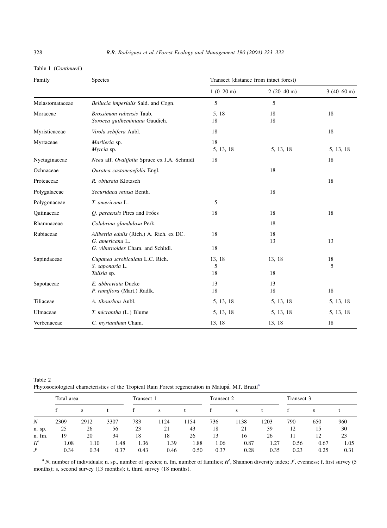<span id="page-5-0"></span>Table 1 (Continued )

| Family          | Species                                                                                          | Transect (distance from intact forest) |                      |               |  |  |
|-----------------|--------------------------------------------------------------------------------------------------|----------------------------------------|----------------------|---------------|--|--|
|                 |                                                                                                  | $1(0-20m)$                             | $2(20-40 \text{ m})$ | $3(40-60)$ m) |  |  |
| Melastomataceae | Bellucia imperialis Sald. and Cogn.                                                              | 5                                      | 5                    |               |  |  |
| Moraceae        | Brossimum rubensis Taub.<br>Sorocea guilheminiana Gaudich.                                       | 5, 18<br>18                            | 18<br>18             | 18            |  |  |
| Myristicaceae   | Virola sebifera Aubl.                                                                            | 18                                     |                      | 18            |  |  |
| Myrtaceae       | Marlieria sp.<br>Myrcia sp.                                                                      | 18<br>5, 13, 18                        | 5, 13, 18            | 5, 13, 18     |  |  |
| Nyctaginaceae   | Neea aff. Ovalifolia Spruce ex J.A. Schmidt                                                      | 18                                     |                      | 18            |  |  |
| Ochnaceae       | Ouratea castaneaefolia Engl.                                                                     |                                        | 18                   |               |  |  |
| Proteaceae      | R. obtusata Klotzsch                                                                             |                                        |                      | 18            |  |  |
| Polygalaceae    | Securidaca retusa Benth.                                                                         |                                        | 18                   |               |  |  |
| Polygonaceae    | T. americana L.                                                                                  | 5                                      |                      |               |  |  |
| Quiinaceae      | Q. paraensis Pires and Fróes                                                                     | 18                                     | 18                   | 18            |  |  |
| Rhamnaceae      | Colubrina glandulosa Perk.                                                                       |                                        | 18                   |               |  |  |
| Rubiaceae       | Alibertia edulis (Rich.) A. Rich. ex DC.<br>G. americana L.<br>G. viburnoides Cham. and Schltdl. | 18<br>18                               | 18<br>13             | 13            |  |  |
| Sapindaceae     | Cupanea scrobiculata L.C. Rich.<br>S. saponaria L.<br>Talisia sp.                                | 13, 18<br>5<br>18                      | 13, 18<br>18         | 18<br>5       |  |  |
| Sapotaceae      | E. abbreviata Ducke<br>P. ramiflora (Mart.) Radlk.                                               | 13<br>18                               | 13<br>18             | 18            |  |  |
| Tiliaceae       | A. tibourbou Aubl.                                                                               | 5, 13, 18                              | 5, 13, 18            | 5, 13, 18     |  |  |
| Ulmaceae        | T. micrantha (L.) Blume                                                                          | 5, 13, 18                              | 5, 13, 18            | 5, 13, 18     |  |  |
| Verbenaceae     | C. myrianthum Cham.                                                                              | 13, 18                                 | 13, 18               | 18            |  |  |

Table 2 Phytosociological characteristics of the Tropical Rain Forest regeneration in Matupá, MT, Brazil<sup>a</sup>

|        | Total area |      |      | Transect 1 |      |      | Transect 2 |      |      | Transect 3 |      |      |
|--------|------------|------|------|------------|------|------|------------|------|------|------------|------|------|
|        |            | s    |      |            | s    |      |            | s    |      |            | s    |      |
| N      | 2309       | 2912 | 3307 | 783        | 1124 | 1154 | 736        | 1138 | 1203 | 790        | 650  | 960  |
| n. sp. | 25         | 26   | 56   | 23         | 21   | 43   | 18         | 21   | 39   | 12         | 15   | 30   |
| n. fm. | 19         | 20   | 34   | 18         | 18   | 26   | 13         | 16   | 26   | 11         | 12   | 23   |
| H      | 1.08       | 1.10 | 1.48 | 1.36       | 1.39 | 1.88 | 1.06       | 0.87 | 1.27 | 0.56       | 0.67 | 1.05 |
|        | 0.34       | 0.34 | 0.37 | 0.43       | 0.46 | 0.50 | 0.37       | 0.28 | 0.35 | 0.23       | 0.25 | 0.31 |

 $^a$  N, number of individuals; n. sp., number of species; n. fm, number of families; H', Shannon diversity index; J', evenness; f, first survey (5) months); s, second survey (13 months); t, third survey (18 months).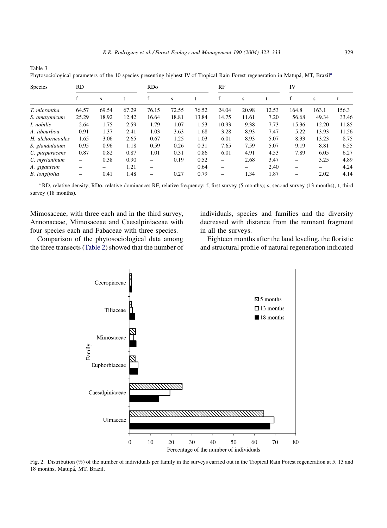| Species              | RD    |       |       | <b>RDo</b>               |       |       | RF                       |       |       | IV                       |                          |       |
|----------------------|-------|-------|-------|--------------------------|-------|-------|--------------------------|-------|-------|--------------------------|--------------------------|-------|
|                      |       | S     |       |                          | S     |       |                          | S     |       |                          | S                        |       |
| T. micrantha         | 64.57 | 69.54 | 67.29 | 76.15                    | 72.55 | 76.52 | 24.04                    | 20.98 | 12.53 | 164.8                    | 163.1                    | 156.3 |
| S. amazonicum        | 25.29 | 18.92 | 12.42 | 16.64                    | 18.81 | 13.84 | 14.75                    | 11.61 | 7.20  | 56.68                    | 49.34                    | 33.46 |
| I. nobilis           | 2.64  | 1.75  | 2.59  | 1.79                     | 1.07  | 1.53  | 10.93                    | 9.38  | 7.73  | 15.36                    | 12.20                    | 11.85 |
| A. tibourbou         | 0.91  | 1.37  | 2.41  | 1.03                     | 3.63  | 1.68  | 3.28                     | 8.93  | 7.47  | 5.22                     | 13.93                    | 11.56 |
| H. alchorneoides     | 1.65  | 3.06  | 2.65  | 0.67                     | 1.25  | 1.03  | 6.01                     | 8.93  | 5.07  | 8.33                     | 13.23                    | 8.75  |
| S. glandulatum       | 0.95  | 0.96  | 1.18  | 0.59                     | 0.26  | 0.31  | 7.65                     | 7.59  | 5.07  | 9.19                     | 8.81                     | 6.55  |
| C. purpuracens       | 0.87  | 0.82  | 0.87  | 1.01                     | 0.31  | 0.86  | 6.01                     | 4.91  | 4.53  | 7.89                     | 6.05                     | 6.27  |
| C. myrianthum        |       | 0.38  | 0.90  | $\overline{\phantom{0}}$ | 0.19  | 0.52  | $\overline{\phantom{0}}$ | 2.68  | 3.47  | $\overline{\phantom{0}}$ | 3.25                     | 4.89  |
| A. giganteun         |       |       | 1.21  |                          |       | 0.64  |                          |       | 2.40  | $\overline{\phantom{m}}$ | $\overline{\phantom{0}}$ | 4.24  |
| <b>B.</b> longifolia |       | 0.41  | 1.48  | -                        | 0.27  | 0.79  | $\overline{\phantom{0}}$ | 1.34  | 1.87  |                          | 2.02                     | 4.14  |

Phytosociological parameters of the 10 species presenting highest IV of Tropical Rain Forest regeneration in Matupá, MT, Brazil<sup>a</sup>

<sup>a</sup> RD, relative density; RDo, relative dominance; RF, relative frequency; f, first survey (5 months); s, second survey (13 months); t, third survey (18 months).

Mimosaceae, with three each and in the third survey, Annonaceae, Mimosaceae and Caesalpiniaceae with four species each and Fabaceae with three species.

<span id="page-6-0"></span>Table 3

individuals, species and families and the diversity decreased with distance from the remnant fragment in all the surveys.

Comparison of the phytosociological data among the three transects [\(Table 2](#page-5-0)) showed that the number of

Eighteen months after the land leveling, the floristic and structural profile of natural regeneration indicated



Fig. 2. Distribution (%) of the number of individuals per family in the surveys carried out in the Tropical Rain Forest regeneration at 5, 13 and 18 months, Matupá, MT, Brazil.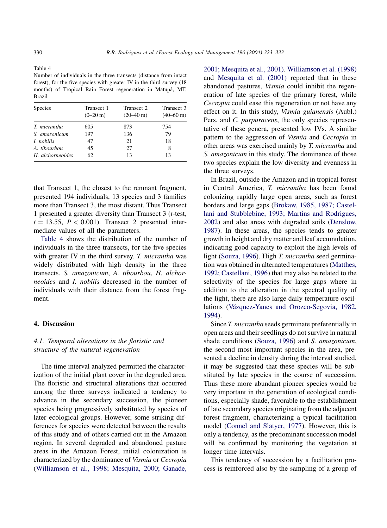Table 4 Number of individuals in the three transects (distance from intact forest), for the five species with greater IV in the third survey (18 months) of Tropical Rain Forest regeneration in Matupá, MT, Brazil

| Species          | Transect 1<br>$(0-20 \text{ m})$ | Transect 2<br>$(20-40 \text{ m})$ | Transect 3<br>$(40-60 \text{ m})$ |
|------------------|----------------------------------|-----------------------------------|-----------------------------------|
| T. micrantha     | 605                              | 873                               | 754                               |
| S. amazonicum    | 197                              | 136                               | 79                                |
| I. nobilis       | 47                               | 21                                | 18                                |
| A. tibourbou     | 45                               | 27                                | 8                                 |
| H. alchorneoides | 62.                              | 13                                | 13                                |

that Transect 1, the closest to the remnant fragment, presented 194 individuals, 13 species and 3 families more than Transect 3, the most distant. Thus Transect 1 presented a greater diversity than Transect 3 (t-test,  $t = 13.55$ ,  $P < 0.001$ ). Transect 2 presented intermediate values of all the parameters.

Table 4 shows the distribution of the number of individuals in the three transects, for the five species with greater IV in the third survey. T. micrantha was widely distributed with high density in the three transects. S. amazonicum, A. tibourbou, H. alchorneoides and I. nobilis decreased in the number of individuals with their distance from the forest fragment.

### 4. Discussion

# 4.1. Temporal alterations in the floristic and structure of the natural regeneration

The time interval analyzed permitted the characterization of the initial plant cover in the degraded area. The floristic and structural alterations that occurred among the three surveys indicated a tendency to advance in the secondary succession, the pioneer species being progressively substituted by species of later ecological groups. However, some striking differences for species were detected between the results of this study and of others carried out in the Amazon region. In several degraded and abandoned pasture areas in the Amazon Forest, initial colonization is characterized by the dominance of Vismia or Cecropia ([Williamson et al., 1998; Mesquita, 2000; Ganade,](#page-10-0)

[2001; Mesquita et al., 2001\)](#page-10-0). [Williamson et al. \(1998\)](#page-10-0) and [Mesquita et al. \(2001\)](#page-9-0) reported that in these abandoned pastures, Vismia could inhibit the regeneration of late species of the primary forest, while Cecropia could ease this regeneration or not have any effect on it. In this study, Vismia guianensis (Aubl.) Pers. and *C. purpuracens*, the only species representative of these genera, presented low IVs. A similar pattern to the aggression of Vismia and Cecropia in other areas was exercised mainly by T. micrantha and S. amazonicum in this study. The dominance of those two species explain the low diversity and evenness in the three surveys.

In Brazil, outside the Amazon and in tropical forest in Central America, T. micrantha has been found colonizing rapidly large open areas, such as forest borders and large gaps [\(Brokaw, 1985, 1987; Castel](#page-9-0)[lani and Stubblebine, 1993; Martins and Rodrigues,](#page-9-0) [2002](#page-9-0)) and also areas with degraded soils ([Denslow,](#page-9-0) [1987](#page-9-0)). In these areas, the species tends to greater growth in height and dry matter and leaf accumulation, indicating good capacity to exploit the high levels of light ([Souza, 1996](#page-9-0)). High T. micrantha seed germination was obtained in alternated temperatures [\(Matthes,](#page-9-0) [1992; Castellani, 1996\)](#page-9-0) that may also be related to the selectivity of the species for large gaps where in addition to the alteration in the spectral quality of the light, there are also large daily temperature oscillations (Vázquez-Yanes and Orozco-Segovia, 1982, [1994](#page-10-0)).

Since T. micrantha seeds germinate preferentially in open areas and their seedlings do not survive in natural shade conditions ([Souza, 1996](#page-9-0)) and S. amazonicum, the second most important species in the area, presented a decline in density during the interval studied, it may be suggested that these species will be substituted by late species in the course of succession. Thus these more abundant pioneer species would be very important in the generation of ecological conditions, especially shade, favorable to the establishment of late secondary species originating from the adjacent forest fragment, characterizing a typical facilitation model ([Connel and Slatyer, 1977\)](#page-9-0). However, this is only a tendency, as the predominant succession model will be confirmed by monitoring the vegetation at longer time intervals.

This tendency of succession by a facilitation process is reinforced also by the sampling of a group of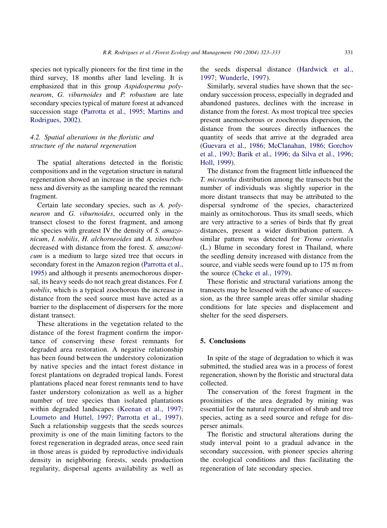species not typically pioneers for the first time in the third survey, 18 months after land leveling. It is emphasized that in this group Aspidosperma polyneurom, G. viburnoides and P. robustum are late secondary species typical of mature forest at advanced succession stage [\(Parrotta et al., 1995; Martins and](#page-9-0) [Rodrigues, 2002](#page-9-0)).

# 4.2. Spatial alterations in the floristic and structure of the natural regeneration

The spatial alterations detected in the floristic compositions and in the vegetation structure in natural regeneration showed an increase in the species richness and diversity as the sampling neared the remnant fragment.

Certain late secondary species, such as A. polyneuron and G. viburnoides, occurred only in the transect closest to the forest fragment, and among the species with greatest IV the density of S. amazonicum, I. nobilis, H. alchorneoides and A. tibourbou decreased with distance from the forest. S. amazonicum is a medium to large sized tree that occurs in secondary forest in the Amazon region [\(Parrotta et al.,](#page-9-0) [1995](#page-9-0)) and although it presents anemochorous dispersal, its heavy seeds do not reach great distances. For I. nobilis, which is a typical zoochorous the increase in distance from the seed source must have acted as a barrier to the displacement of dispersers for the more distant transect.

These alterations in the vegetation related to the distance of the forest fragment confirm the importance of conserving these forest remnants for degraded area restoration. A negative relationship has been found between the understory colonization by native species and the intact forest distance in forest plantations on degraded tropical lands. Forest plantations placed near forest remnants tend to have faster understory colonization as well as a higher number of tree species than isolated plantations within degraded landscapes ([Keenan et al., 1997;](#page-9-0) [Loumeto and Huttel, 1997; Parrotta et al., 1997\)](#page-9-0). Such a relationship suggests that the seeds sources proximity is one of the main limiting factors to the forest regeneration in degraded areas, once seed rain in those areas is guided by reproductive individuals density in neighboring forests, seeds production regularity, dispersal agents availability as well as the seeds dispersal distance ([Hardwick et al.,](#page-9-0) [1997; Wunderle, 1997\)](#page-9-0).

Similarly, several studies have shown that the secondary succession process, especially in degraded and abandoned pastures, declines with the increase in distance from the forest. As most tropical tree species present anemochorous or zoochorous dispersion, the distance from the sources directly influences the quantity of seeds that arrive at the degraded area ([Guevara et al., 1986; McClanahan, 1986; Gorchov](#page-9-0) [et al., 1993; Barik et al., 1996; da Silva et al., 1996;](#page-9-0) [Holl, 1999](#page-9-0)).

The distance from the fragment little influenced the T. micrantha distribution among the transects but the number of individuals was slightly superior in the more distant transects that may be attributed to the dispersal syndrome of the species, characterized mainly as ornitochorous. Thus its small seeds, which are very attractive to a series of birds that fly great distances, present a wider distribution pattern. A similar pattern was detected for Trema orientalis (L.) Blume in secondary forest in Thailand, where the seedling density increased with distance from the source, and viable seeds were found up to 175 m from the source ([Cheke et al., 1979](#page-9-0)).

These floristic and structural variations among the transects may be lessened with the advance of succession, as the three sample areas offer similar shading conditions for late species and displacement and shelter for the seed dispersers.

### 5. Conclusions

In spite of the stage of degradation to which it was submitted, the studied area was in a process of forest regeneration, shown by the floristic and structural data collected.

The conservation of the forest fragment in the proximities of the area degraded by mining was essential for the natural regeneration of shrub and tree species, acting as a seed source and refuge for disperser animals.

The floristic and structural alterations during the study interval point to a gradual advance in the secondary succession, with pioneer species altering the ecological conditions and thus facilitating the regeneration of late secondary species.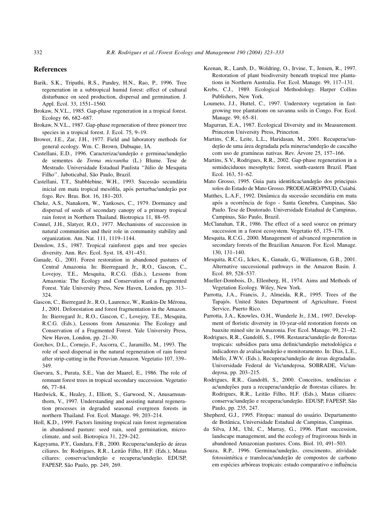## <span id="page-9-0"></span>References

- Barik, S.K., Tripathi, R.S., Pandey, H.N., Rao, P., 1996. Tree regeneration in a subtropical humid forest: effect of cultural disturbance on seed production, dispersal and germination. J. Appl. Ecol. 33, 1551–1560.
- Brokaw, N.V.L., 1985. Gap-phase regeneration in a tropical forest. Ecology 66, 682–687.
- Brokaw, N.V.L., 1987. Gap-phase regeneration of three pioneer tree species in a tropical forest. J. Ecol. 75, 9–19.
- Brower, J.E., Zar, J.H., 1977. Field and laboratory methods for general ecology. Wm. C. Brown, Dubuque, IA.
- Castellani, E.D., 1996. Caracterizac\underão e germinac\underão de sementes de Trema micrantha (L.) Blume. Tese de Mestrado. Universidade Estadual Paulista "Júlio de Mesquita Filho". Jaboticabal, São Paulo, Brazil.
- Castellani, T.T., Stubblebine, W.H., 1993. Sucessão secundária inicial em mata tropical mesófila, após perturbac\underão por fogo. Rev. Bras. Bot. 16, 181–203.
- Cheke, A.S., Nanakorn, W., Yankoses, C., 1979. Dormancy and dispersal of seeds of secondary canopy of a primary tropical rain forest in Northern Thailand. Biotropica 11, 88–95.
- Connel, J.H., Slatyer, R.O., 1977. Mechanisms of succession in natural communities and their role in community stability and organization. Am. Nat. 111, 1119–1144.
- Denslow, J.S., 1987. Tropical rainforest gaps and tree species diversity. Ann. Rev. Ecol. Syst. 18, 431–451.
- Ganade, G., 2001. Forest restoration in abandoned pastures of Central Amazonia. In: Bierregaard Jr., R.O., Gascon, C., Lovejoy, T.E., Mesquita, R.C.G. (Eds.), Lessons from Amazonia: The Ecology and Conservation of a Fragmented Forest. Yale University Press, New Haven, London, pp. 313– 324.
- Gascon, C., Bierregard Jr., R.O., Laurence, W., Rankin-De Mérona, J., 2001. Deforestation and forest fragmentation in the Amazon. In: Bierregard Jr., R.O., Gascon, C., Lovejoy, T.E., Mesquita, R.C.G. (Eds.), Lessons from Amazonia: The Ecology and Conservation of a Fragmented Forest. Yale University Press, New Haven, London, pp. 21–30.
- Gorchov, D.L., Cornejo, F., Ascorra, C., Jaramillo, M., 1993. The role of seed dispersal in the natural regeneration of rain forest after strip-cutting in the Peruvian Amazon. Vegetatio 107, 339– 349.
- Guevara, S., Purata, S.E., Van der Maarel, E., 1986. The role of remnant forest trees in tropical secondary succession. Vegetatio 66, 77–84.
- Hardwick, K., Healey, J., Elliott, S., Garwood, N., Anusarnsunthorn, V., 1997. Understanding and assisting natural regeneration processes in degraded seasonal evergreen forests in northern Thailand. For. Ecol. Manage. 99, 203–214.
- Holl, K.D., 1999. Factors limiting tropical rain forest regeneration in abandoned pasture: seed rain, seed germination, microclimate, and soil. Biotropica 31, 229–242.
- Kageyama, P.Y., Gandara, F.B., 2000. Recuperac\underao de áreas ciliares. In: Rodrigues, R.R., Leitão Filho, H.F. (Eds.), Matas ciliares: conservac\underão e recuperac\underão. EDUSP, FAPESP, São Paulo, pp. 249, 269.
- Keenan, R., Lamb, D., Woldring, O., Irvine, T., Jensen, R., 1997. Restoration of plant biodiversity beneath tropical tree plantations in Northern Australia. For. Ecol. Manage. 99, 117–131.
- Krebs, C.J., 1989. Ecological Methodology. Harper Collins Publishers, New York.
- Loumeto, J.J., Huttel, C., 1997. Understory vegetation in fastgrowing tree plantations on savanna soils in Congo. For. Ecol. Manage. 99, 65–81.
- Magurran, E.A., 1987. Ecological Diversity and its Measurement. Princeton University Press, Princeton.
- Martins, C.R., Leite, L.L., Haridasan, M., 2001. Recuperac\underão de uma área degradada pela minerac\underão de cascalho com uso de gramíneas nativas. Rev. Árvore 25, 157–166.
- Martins, S.V., Rodrigues, R.R., 2002. Gap-phase regeneration in a semideciduous mesophytic forest, south-eastern Brazil. Plant Ecol. 163, 51–62.
- Mato Grosso, 1995. Guia para identificac\underão dos principais solos do Estado de Mato Grosso. PRODEAGRO/PNUD, Cuiabá.
- Matthes, L.A.F., 1992. Dinâmica da sucessão secundária em mata após a ocorrência de fogo - Santa Genebra, Campinas, São Paulo. Tese de Doutorado. Universidade Estadual de Campinas, Campinas, São Paulo, Brazil.
- McClanahan, T.R., 1986. The effect of a seed source on primary succession in a forest ecosystem. Vegetatio 65, 175–178.
- Mesquita, R.C.G., 2000. Management of advanced regeneration in secondary forests of the Brazilian Amazon. For. Ecol. Manage. 130, 131–140.
- Mesquita, R.C.G., Ickes, K., Ganade, G., Williamson, G.B., 2001. Alternative successional pathways in the Amazon Basin. J. Ecol. 89, 528–537.
- Mueller-Dombois, D., Ellenberg, H., 1974. Aims and Methods of Vegetation Ecology. Wiley, New York.
- Parrotta, J.A., Francis, J., Almeida, R.R., 1995. Trees of the Tapajós. United States Department of Agriculture, Forest Service, Puerto Rico.
- Parrotta, J.A., Knowles, O.H., Wunderle Jr., J.M., 1997. Development of floristic diversity in 10-year-old restoration forests on bauxite mined site in Amazonia. For. Ecol. Manage. 99, 21–42.
- Rodrigues, R.R., Gandolfi, S., 1998. Restaurac\underao de florestas tropicais: subsídios para uma definic\underão metodológica e indicadores de avaliac\underão e monitoramento. In: Dias, L.E., Mello, J.W.V. (Eds.), Recuperac\underao de áreas degradadas. Universidade Federal de Vic\underosa, SOBRADE, Vic\underosa, pp. 203-215.
- Rodrigues, R.R., Gandolfi, S., 2000. Conceitos, tendências e ac\underões para a recuperac\underão de florestas ciliares. In: Rodrigues, R.R., Leitão Filho, H.F. (Eds.), Matas ciliares: conservac\underão e recuperac\underão. EDUSP, FAPESP, São Paulo, pp. 235, 247.
- Shepherd, G.J., 1995. Fitopac: manual do usuário. Departamento de Botânica, Universidade Estadual de Campinas, Campinas.
- da Silva, J.M., Uhl, C., Murray, G., 1996. Plant succession, landscape management, and the ecology of frugivorous birds in abandoned Amazonian pastures. Cons. Biol. 10, 491–503.
- Souza, R.P., 1996. Germinac\underão, crescimento, atividade fotossintética e translocac\underão de compostos de carbono em espécies arbóreas tropicais: estudo comparativo e influência